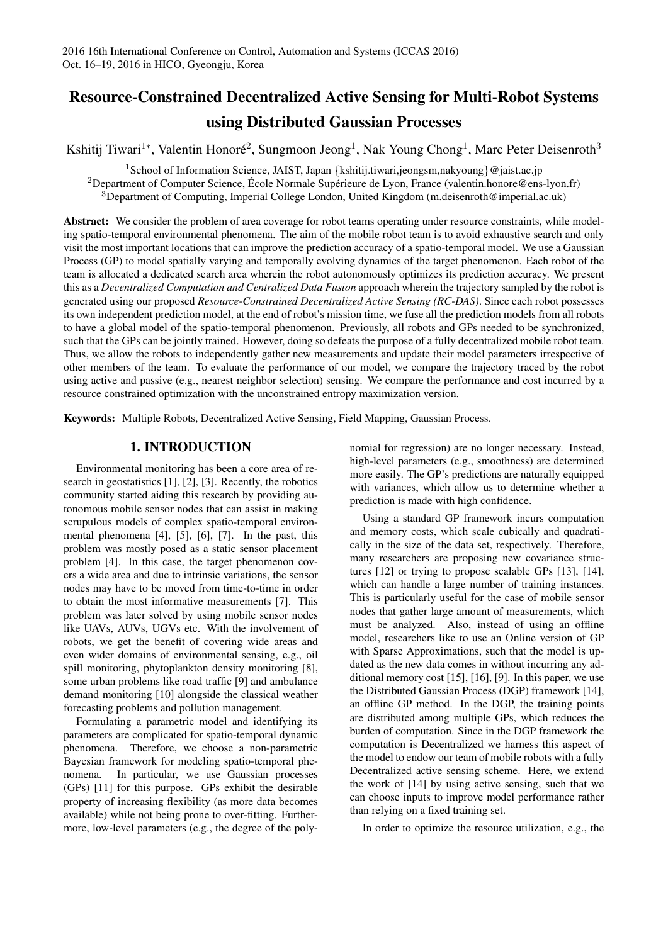# Resource-Constrained Decentralized Active Sensing for Multi-Robot Systems using Distributed Gaussian Processes

Kshitij Tiwari<sup>1∗</sup>, Valentin Honoré<sup>2</sup>, Sungmoon Jeong<sup>1</sup>, Nak Young Chong<sup>1</sup>, Marc Peter Deisenroth<sup>3</sup>

<sup>1</sup>School of Information Science, JAIST, Japan {kshitij.tiwari,jeongsm,nakyoung}@jaist.ac.jp <sup>2</sup>Department of Computer Science, École Normale Supérieure de Lyon, France (valentin.honore@ens-lyon.fr) <sup>3</sup>Department of Computing, Imperial College London, United Kingdom (m.deisenroth@imperial.ac.uk)

Abstract: We consider the problem of area coverage for robot teams operating under resource constraints, while modeling spatio-temporal environmental phenomena. The aim of the mobile robot team is to avoid exhaustive search and only visit the most important locations that can improve the prediction accuracy of a spatio-temporal model. We use a Gaussian Process (GP) to model spatially varying and temporally evolving dynamics of the target phenomenon. Each robot of the team is allocated a dedicated search area wherein the robot autonomously optimizes its prediction accuracy. We present this as a *Decentralized Computation and Centralized Data Fusion* approach wherein the trajectory sampled by the robot is generated using our proposed *Resource-Constrained Decentralized Active Sensing (RC-DAS)*. Since each robot possesses its own independent prediction model, at the end of robot's mission time, we fuse all the prediction models from all robots to have a global model of the spatio-temporal phenomenon. Previously, all robots and GPs needed to be synchronized, such that the GPs can be jointly trained. However, doing so defeats the purpose of a fully decentralized mobile robot team. Thus, we allow the robots to independently gather new measurements and update their model parameters irrespective of other members of the team. To evaluate the performance of our model, we compare the trajectory traced by the robot using active and passive (e.g., nearest neighbor selection) sensing. We compare the performance and cost incurred by a resource constrained optimization with the unconstrained entropy maximization version.

Keywords: Multiple Robots, Decentralized Active Sensing, Field Mapping, Gaussian Process.

## 1. INTRODUCTION

Environmental monitoring has been a core area of research in geostatistics [1], [2], [3]. Recently, the robotics community started aiding this research by providing autonomous mobile sensor nodes that can assist in making scrupulous models of complex spatio-temporal environmental phenomena [4], [5], [6], [7]. In the past, this problem was mostly posed as a static sensor placement problem [4]. In this case, the target phenomenon covers a wide area and due to intrinsic variations, the sensor nodes may have to be moved from time-to-time in order to obtain the most informative measurements [7]. This problem was later solved by using mobile sensor nodes like UAVs, AUVs, UGVs etc. With the involvement of robots, we get the benefit of covering wide areas and even wider domains of environmental sensing, e.g., oil spill monitoring, phytoplankton density monitoring [8], some urban problems like road traffic [9] and ambulance demand monitoring [10] alongside the classical weather forecasting problems and pollution management.

Formulating a parametric model and identifying its parameters are complicated for spatio-temporal dynamic phenomena. Therefore, we choose a non-parametric Bayesian framework for modeling spatio-temporal phenomena. In particular, we use Gaussian processes (GPs) [11] for this purpose. GPs exhibit the desirable property of increasing flexibility (as more data becomes available) while not being prone to over-fitting. Furthermore, low-level parameters (e.g., the degree of the polynomial for regression) are no longer necessary. Instead, high-level parameters (e.g., smoothness) are determined more easily. The GP's predictions are naturally equipped with variances, which allow us to determine whether a prediction is made with high confidence.

Using a standard GP framework incurs computation and memory costs, which scale cubically and quadratically in the size of the data set, respectively. Therefore, many researchers are proposing new covariance structures [12] or trying to propose scalable GPs [13], [14], which can handle a large number of training instances. This is particularly useful for the case of mobile sensor nodes that gather large amount of measurements, which must be analyzed. Also, instead of using an offline model, researchers like to use an Online version of GP with Sparse Approximations, such that the model is updated as the new data comes in without incurring any additional memory cost [15], [16], [9]. In this paper, we use the Distributed Gaussian Process (DGP) framework [14], an offline GP method. In the DGP, the training points are distributed among multiple GPs, which reduces the burden of computation. Since in the DGP framework the computation is Decentralized we harness this aspect of the model to endow our team of mobile robots with a fully Decentralized active sensing scheme. Here, we extend the work of [14] by using active sensing, such that we can choose inputs to improve model performance rather than relying on a fixed training set.

In order to optimize the resource utilization, e.g., the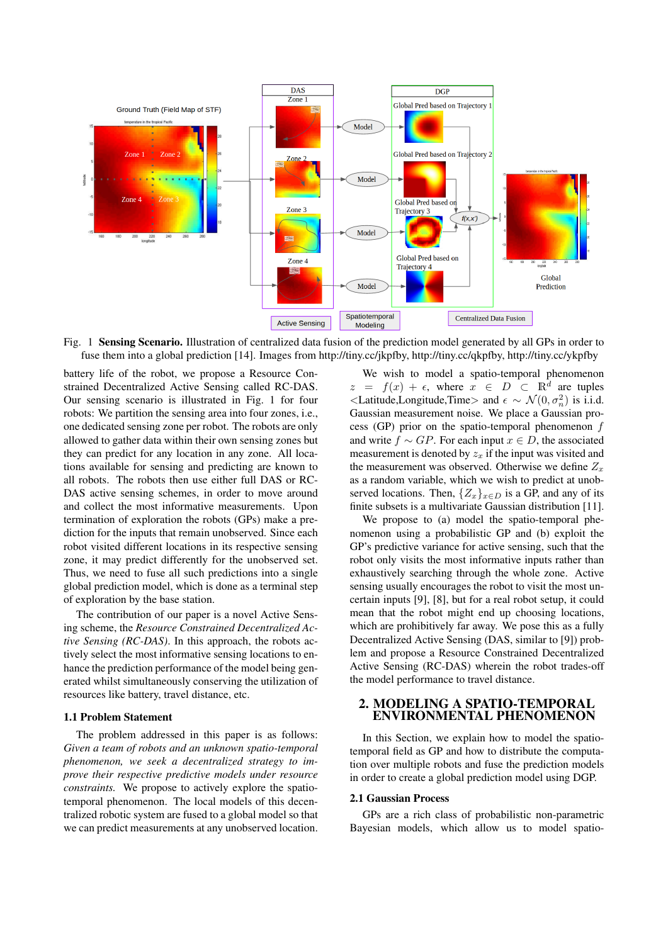

Fig. 1 Sensing Scenario. Illustration of centralized data fusion of the prediction model generated by all GPs in order to fuse them into a global prediction [14]. Images from http://tiny.cc/jkpfby, http://tiny.cc/qkpfby, http://tiny.cc/ykpfby

battery life of the robot, we propose a Resource Constrained Decentralized Active Sensing called RC-DAS. Our sensing scenario is illustrated in Fig. 1 for four robots: We partition the sensing area into four zones, i.e., one dedicated sensing zone per robot. The robots are only allowed to gather data within their own sensing zones but they can predict for any location in any zone. All locations available for sensing and predicting are known to all robots. The robots then use either full DAS or RC-DAS active sensing schemes, in order to move around and collect the most informative measurements. Upon termination of exploration the robots (GPs) make a prediction for the inputs that remain unobserved. Since each robot visited different locations in its respective sensing zone, it may predict differently for the unobserved set. Thus, we need to fuse all such predictions into a single global prediction model, which is done as a terminal step of exploration by the base station.

The contribution of our paper is a novel Active Sensing scheme, the *Resource Constrained Decentralized Active Sensing (RC-DAS)*. In this approach, the robots actively select the most informative sensing locations to enhance the prediction performance of the model being generated whilst simultaneously conserving the utilization of resources like battery, travel distance, etc.

#### 1.1 Problem Statement

The problem addressed in this paper is as follows: *Given a team of robots and an unknown spatio-temporal phenomenon, we seek a decentralized strategy to improve their respective predictive models under resource constraints.* We propose to actively explore the spatiotemporal phenomenon. The local models of this decentralized robotic system are fused to a global model so that we can predict measurements at any unobserved location.

We wish to model a spatio-temporal phenomenon  $z = f(x) + \epsilon$ , where  $x \in D \subset \mathbb{R}^d$  are tuples  $\langle$ Latitude,Longitude,Time> and  $\epsilon \sim \mathcal{N}(0, \sigma_n^2)$  is i.i.d. Gaussian measurement noise. We place a Gaussian process (GP) prior on the spatio-temporal phenomenon f and write  $f \sim GP$ . For each input  $x \in D$ , the associated measurement is denoted by  $z_x$  if the input was visited and the measurement was observed. Otherwise we define  $Z_x$ as a random variable, which we wish to predict at unobserved locations. Then,  $\{Z_x\}_{x \in D}$  is a GP, and any of its finite subsets is a multivariate Gaussian distribution [11].

We propose to (a) model the spatio-temporal phenomenon using a probabilistic GP and (b) exploit the GP's predictive variance for active sensing, such that the robot only visits the most informative inputs rather than exhaustively searching through the whole zone. Active sensing usually encourages the robot to visit the most uncertain inputs [9], [8], but for a real robot setup, it could mean that the robot might end up choosing locations, which are prohibitively far away. We pose this as a fully Decentralized Active Sensing (DAS, similar to [9]) problem and propose a Resource Constrained Decentralized Active Sensing (RC-DAS) wherein the robot trades-off the model performance to travel distance.

## 2. MODELING A SPATIO-TEMPORAL ENVIRONMENTAL PHENOMENON

In this Section, we explain how to model the spatiotemporal field as GP and how to distribute the computation over multiple robots and fuse the prediction models in order to create a global prediction model using DGP.

#### 2.1 Gaussian Process

GPs are a rich class of probabilistic non-parametric Bayesian models, which allow us to model spatio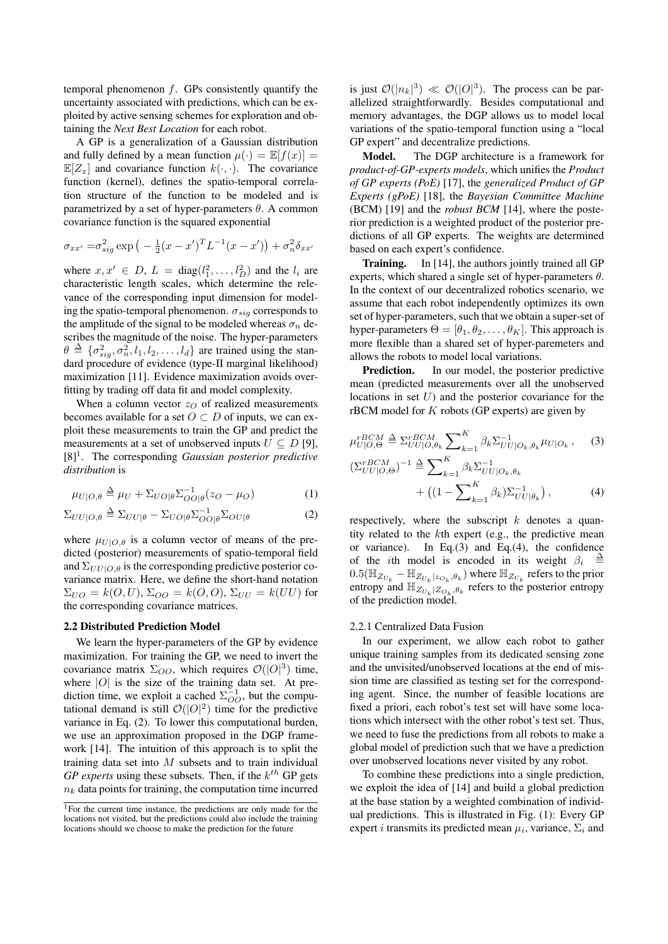temporal phenomenon  $f$ . GPs consistently quantify the uncertainty associated with predictions, which can be exploited by active sensing schemes for exploration and obtaining the *Next Best Location* for each robot.

A GP is a generalization of a Gaussian distribution and fully defined by a mean function  $\mu(\cdot) = \mathbb{E}[f(x)] =$  $\mathbb{E}[Z_x]$  and covariance function  $k(\cdot, \cdot)$ . The covariance function (kernel), defines the spatio-temporal correlation structure of the function to be modeled and is parametrized by a set of hyper-parameters  $\theta$ . A common covariance function is the squared exponential

$$
\sigma_{xx'} = \sigma_{sig}^2 \exp\left(-\frac{1}{2}(x - x')^T L^{-1}(x - x')\right) + \sigma_n^2 \delta_{xx'}
$$

where  $x, x' \in D$ ,  $L = \text{diag}(l_1^2, \dots, l_D^2)$  and the  $l_i$  are characteristic length scales, which determine the relevance of the corresponding input dimension for modeling the spatio-temporal phenomenon.  $\sigma_{sig}$  corresponds to the amplitude of the signal to be modeled whereas  $\sigma_n$  describes the magnitude of the noise. The hyper-parameters  $\theta \triangleq {\sigma_{sig}^2, \sigma_n^2, l_1, l_2, \dots, l_d}$  are trained using the standard procedure of evidence (type-II marginal likelihood) maximization [11]. Evidence maximization avoids overfitting by trading off data fit and model complexity.

When a column vector  $z_O$  of realized measurements becomes available for a set  $O \subset D$  of inputs, we can exploit these measurements to train the GP and predict the measurements at a set of unobserved inputs  $U \subseteq D$  [9], [8]<sup>1</sup> . The corresponding *Gaussian posterior predictive distribution* is

$$
\mu_{U|O,\theta} \stackrel{\Delta}{=} \mu_U + \Sigma_{UO|\theta} \Sigma_{OO|\theta}^{-1} (z_O - \mu_O) \tag{1}
$$

$$
\Sigma_{UU|O,\theta} \stackrel{\Delta}{=} \Sigma_{UU|\theta} - \Sigma_{UO|\theta} \Sigma_{OO|\theta}^{-1} \Sigma_{OU|\theta}
$$
 (2)

where  $\mu_{U|O,\theta}$  is a column vector of means of the predicted (posterior) measurements of spatio-temporal field and  $\Sigma_{UU|O,\theta}$  is the corresponding predictive posterior covariance matrix. Here, we define the short-hand notation  $\Sigma_{UO} = k(O, U), \Sigma_{OO} = k(O, O), \Sigma_{UU} = k(UU)$  for the corresponding covariance matrices.

#### 2.2 Distributed Prediction Model

We learn the hyper-parameters of the GP by evidence maximization. For training the GP, we need to invert the covariance matrix  $\Sigma_{OO}$ , which requires  $\mathcal{O}(|O|^3)$  time, where  $|O|$  is the size of the training data set. At prediction time, we exploit a cached  $\Sigma_{OO}^{-1}$ , but the computational demand is still  $\mathcal{O}(|O|^2)$  time for the predictive variance in Eq. (2). To lower this computational burden, we use an approximation proposed in the DGP framework [14]. The intuition of this approach is to split the training data set into  $M$  subsets and to train individual  $GP$  *experts* using these subsets. Then, if the  $k^{th}$  GP gets  $n_k$  data points for training, the computation time incurred

is just  $\mathcal{O}(|n_k|^3) \ll \mathcal{O}(|O|^3)$ . The process can be parallelized straightforwardly. Besides computational and memory advantages, the DGP allows us to model local variations of the spatio-temporal function using a "local GP expert" and decentralize predictions.

Model. The DGP architecture is a framework for *product-of-GP-experts models*, which unifies the *Product of GP experts (PoE)* [17], the *generalized Product of GP Experts (gPoE)* [18], the *Bayesian Committee Machine* (BCM) [19] and the *robust BCM* [14], where the posterior prediction is a weighted product of the posterior predictions of all GP experts. The weights are determined based on each expert's confidence.

Training. In [14], the authors jointly trained all GP experts, which shared a single set of hyper-parameters  $\theta$ . In the context of our decentralized robotics scenario, we assume that each robot independently optimizes its own set of hyper-parameters, such that we obtain a super-set of hyper-parameters  $\Theta = [\theta_1, \theta_2, \dots, \theta_K]$ . This approach is more flexible than a shared set of hyper-paremeters and allows the robots to model local variations.

**Prediction.** In our model, the posterior predictive mean (predicted measurements over all the unobserved locations in set  $U$ ) and the posterior covariance for the  $rBCM$  model for  $K$  robots (GP experts) are given by

$$
\mu_{U|O,\Theta}^{rBCM} \triangleq \Sigma_{UU|O,\theta_k}^{rBCM} \sum_{k=1}^{K} \beta_k \Sigma_{UU|O_k,\theta_k}^{-1} \mu_{U|O_k}, \quad (3)
$$

$$
(\Sigma_{UU|O,\Theta}^{rBCM})^{-1} \triangleq \sum_{k=1}^{K} \beta_k \Sigma_{UU|O_k,\theta_k}^{-1}
$$

$$
+ ((1 - \sum_{k=1}^{K} \beta_k) \Sigma_{UU|\theta_k}^{-1}), \quad (4)
$$

respectively, where the subscript  $k$  denotes a quantity related to the kth expert (e.g., the predictive mean or variance). In Eq.(3) and Eq.(4), the confidence of the *i*th model is encoded in its weight  $\beta_i \triangleq$  $0.5(\mathbb{H}_{Z_{U_k}} - \mathbb{H}_{Z_{U_k}|z_{O_k},\theta_k})$  where  $\mathbb{H}_{Z_{U_k}}$  refers to the prior entropy and  $\mathbb{H}_{Z_{U_k}|Z_{O_k},\theta_k}$  refers to the posterior entropy of the prediction model.

#### 2.2.1 Centralized Data Fusion

In our experiment, we allow each robot to gather unique training samples from its dedicated sensing zone and the unvisited/unobserved locations at the end of mission time are classified as testing set for the corresponding agent. Since, the number of feasible locations are fixed a priori, each robot's test set will have some locations which intersect with the other robot's test set. Thus, we need to fuse the predictions from all robots to make a global model of prediction such that we have a prediction over unobserved locations never visited by any robot.

To combine these predictions into a single prediction, we exploit the idea of [14] and build a global prediction at the base station by a weighted combination of individual predictions. This is illustrated in Fig. (1): Every GP expert *i* transmits its predicted mean  $\mu_i$ , variance,  $\Sigma_i$  and

 $1$ For the current time instance, the predictions are only made for the locations not visited, but the predictions could also include the training locations should we choose to make the prediction for the future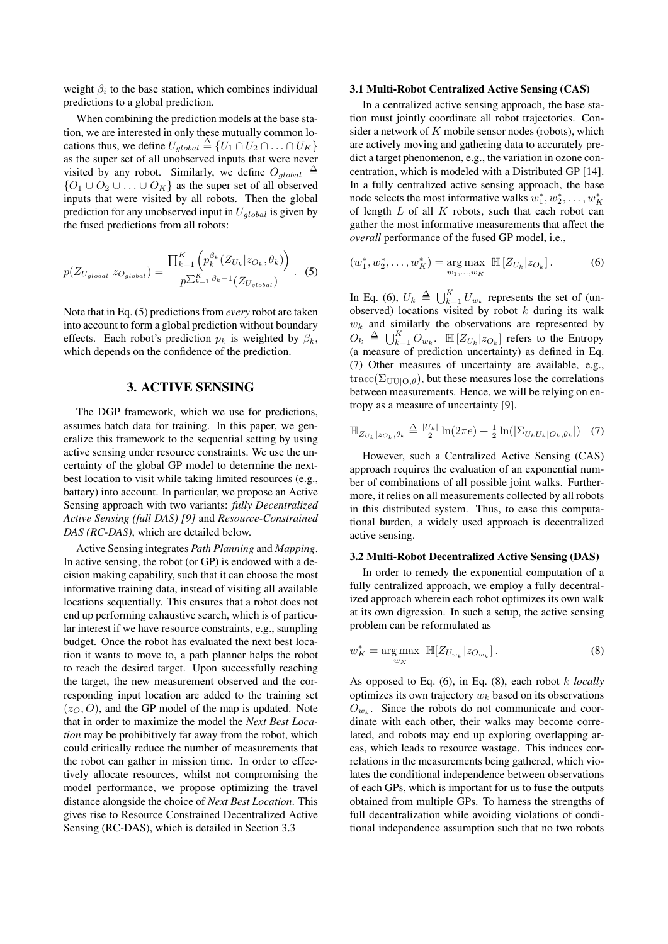weight  $\beta_i$  to the base station, which combines individual predictions to a global prediction.

When combining the prediction models at the base station, we are interested in only these mutually common locations thus, we define  $U_{global} \triangleq \{U_1 \cap U_2 \cap ... \cap U_K\}$ as the super set of all unobserved inputs that were never visited by any robot. Similarly, we define  $O_{global} \triangleq$  ${O_1 \cup O_2 \cup \ldots \cup O_K}$  as the super set of all observed inputs that were visited by all robots. Then the global prediction for any unobserved input in  $U_{global}$  is given by the fused predictions from all robots:

$$
p(Z_{U_{global}}|z_{O_{global}}) = \frac{\prod_{k=1}^{K} (p_k^{\beta_k}(Z_{U_k}|z_{O_k}, \theta_k))}{p^{\sum_{k=1}^{K} \beta_k - 1}(Z_{U_{global}})}.
$$
 (5)

Note that in Eq. (5) predictions from *every* robot are taken into account to form a global prediction without boundary effects. Each robot's prediction  $p_k$  is weighted by  $\beta_k$ , which depends on the confidence of the prediction.

## 3. ACTIVE SENSING

The DGP framework, which we use for predictions, assumes batch data for training. In this paper, we generalize this framework to the sequential setting by using active sensing under resource constraints. We use the uncertainty of the global GP model to determine the nextbest location to visit while taking limited resources (e.g., battery) into account. In particular, we propose an Active Sensing approach with two variants: *fully Decentralized Active Sensing (full DAS) [9]* and *Resource-Constrained DAS (RC-DAS)*, which are detailed below.

Active Sensing integrates *Path Planning* and *Mapping*. In active sensing, the robot (or GP) is endowed with a decision making capability, such that it can choose the most informative training data, instead of visiting all available locations sequentially. This ensures that a robot does not end up performing exhaustive search, which is of particular interest if we have resource constraints, e.g., sampling budget. Once the robot has evaluated the next best location it wants to move to, a path planner helps the robot to reach the desired target. Upon successfully reaching the target, the new measurement observed and the corresponding input location are added to the training set  $(z<sub>O</sub>, O)$ , and the GP model of the map is updated. Note that in order to maximize the model the *Next Best Location* may be prohibitively far away from the robot, which could critically reduce the number of measurements that the robot can gather in mission time. In order to effectively allocate resources, whilst not compromising the model performance, we propose optimizing the travel distance alongside the choice of *Next Best Location*. This gives rise to Resource Constrained Decentralized Active Sensing (RC-DAS), which is detailed in Section 3.3

#### 3.1 Multi-Robot Centralized Active Sensing (CAS)

In a centralized active sensing approach, the base station must jointly coordinate all robot trajectories. Consider a network of  $K$  mobile sensor nodes (robots), which are actively moving and gathering data to accurately predict a target phenomenon, e.g., the variation in ozone concentration, which is modeled with a Distributed GP [14]. In a fully centralized active sensing approach, the base node selects the most informative walks  $w_1^*, w_2^*, \ldots, w_K^*$ of length  $L$  of all  $K$  robots, such that each robot can gather the most informative measurements that affect the *overall* performance of the fused GP model, i.e.,

$$
(w_1^*, w_2^*, \dots, w_K^*) = \underset{w_1, \dots, w_K}{\arg \max} \mathbb{H} \left[ Z_{U_k} | z_{O_k} \right]. \tag{6}
$$

In Eq. (6),  $U_k \triangleq \bigcup_{k=1}^K U_{w_k}$  represents the set of (unobserved) locations visited by robot  $k$  during its walk  $w_k$  and similarly the observations are represented by  $O_k \triangleq \bigcup_{k=1}^K O_{w_k}$ .  $\mathbb{H}\left[Z_{U_k} | z_{O_k}\right]$  refers to the Entropy (a measure of prediction uncertainty) as defined in Eq. (7) Other measures of uncertainty are available, e.g.,  $trace(\Sigma_{\text{UUIO},\theta})$ , but these measures lose the correlations between measurements. Hence, we will be relying on entropy as a measure of uncertainty [9].

$$
\mathbb{H}_{Z_{U_k}|z_{O_k},\theta_k} \triangleq \frac{|U_k|}{2}\ln(2\pi e) + \frac{1}{2}\ln(|\Sigma_{U_kU_k|O_k,\theta_k}|) \quad (7)
$$

However, such a Centralized Active Sensing (CAS) approach requires the evaluation of an exponential number of combinations of all possible joint walks. Furthermore, it relies on all measurements collected by all robots in this distributed system. Thus, to ease this computational burden, a widely used approach is decentralized active sensing.

#### 3.2 Multi-Robot Decentralized Active Sensing (DAS)

In order to remedy the exponential computation of a fully centralized approach, we employ a fully decentralized approach wherein each robot optimizes its own walk at its own digression. In such a setup, the active sensing problem can be reformulated as

$$
w_K^* = \underset{w_K}{\text{arg}\max} \ \mathbb{H}[Z_{U_{w_k}}|z_{O_{w_k}}]. \tag{8}
$$

As opposed to Eq. (6), in Eq. (8), each robot k *locally* optimizes its own trajectory  $w_k$  based on its observations  $O_{w_k}$ . Since the robots do not communicate and coordinate with each other, their walks may become correlated, and robots may end up exploring overlapping areas, which leads to resource wastage. This induces correlations in the measurements being gathered, which violates the conditional independence between observations of each GPs, which is important for us to fuse the outputs obtained from multiple GPs. To harness the strengths of full decentralization while avoiding violations of conditional independence assumption such that no two robots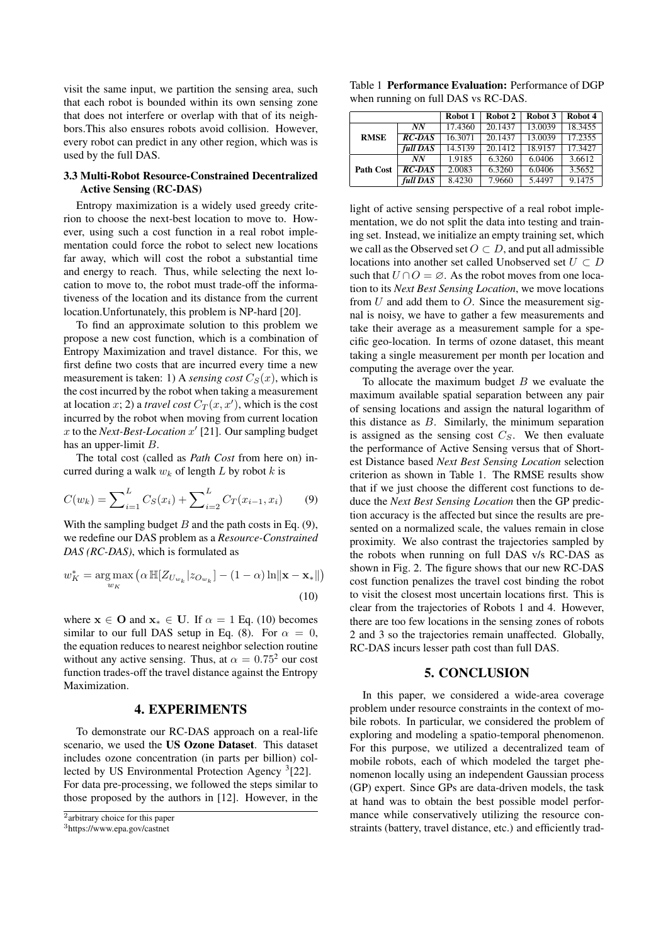visit the same input, we partition the sensing area, such that each robot is bounded within its own sensing zone that does not interfere or overlap with that of its neighbors.This also ensures robots avoid collision. However, every robot can predict in any other region, which was is used by the full DAS.

#### 3.3 Multi-Robot Resource-Constrained Decentralized Active Sensing (RC-DAS)

Entropy maximization is a widely used greedy criterion to choose the next-best location to move to. However, using such a cost function in a real robot implementation could force the robot to select new locations far away, which will cost the robot a substantial time and energy to reach. Thus, while selecting the next location to move to, the robot must trade-off the informativeness of the location and its distance from the current location.Unfortunately, this problem is NP-hard [20].

To find an approximate solution to this problem we propose a new cost function, which is a combination of Entropy Maximization and travel distance. For this, we first define two costs that are incurred every time a new measurement is taken: 1) A *sensing cost*  $C_S(x)$ , which is the cost incurred by the robot when taking a measurement at location x; 2) a *travel cost*  $C_T(x, x')$ , which is the cost incurred by the robot when moving from current location  $x$  to the *Next-Best-Location*  $x'$  [21]. Our sampling budget has an upper-limit B.

The total cost (called as *Path Cost* from here on) incurred during a walk  $w_k$  of length L by robot k is

$$
C(w_k) = \sum_{i=1}^{L} C_S(x_i) + \sum_{i=2}^{L} C_T(x_{i-1}, x_i)
$$
(9)

With the sampling budget  $B$  and the path costs in Eq. (9), we redefine our DAS problem as a *Resource-Constrained DAS (RC-DAS)*, which is formulated as

$$
w_K^* = \underset{w_K}{\arg \max} \left( \alpha \, \mathbb{H}[Z_{U_{w_k}}|z_{O_{w_k}}] - (1 - \alpha) \ln \lVert \mathbf{x} - \mathbf{x}_* \rVert \right)
$$
\n(10)

where  $x \in O$  and  $x_* \in U$ . If  $\alpha = 1$  Eq. (10) becomes similar to our full DAS setup in Eq. (8). For  $\alpha = 0$ , the equation reduces to nearest neighbor selection routine without any active sensing. Thus, at  $\alpha = 0.75^2$  our cost function trades-off the travel distance against the Entropy Maximization.

#### 4. EXPERIMENTS

To demonstrate our RC-DAS approach on a real-life scenario, we used the US Ozone Dataset. This dataset includes ozone concentration (in parts per billion) collected by US Environmental Protection Agency <sup>3</sup>[22]. For data pre-processing, we followed the steps similar to those proposed by the authors in [12]. However, in the

| Table 1 <b>Performance Evaluation:</b> Performance of DGP |  |
|-----------------------------------------------------------|--|
| when running on full DAS vs RC-DAS.                       |  |

|                  |          | Robot 1 | Robot 2 | Robot 3 | Robot 4 |
|------------------|----------|---------|---------|---------|---------|
| <b>RMSE</b>      | NN       | 17.4360 | 20.1437 | 13.0039 | 18.3455 |
|                  | RC-DAS   | 16.3071 | 20.1437 | 13.0039 | 17.2355 |
|                  | full DAS | 14.5139 | 20.1412 | 18.9157 | 17.3427 |
|                  | NN       | 1.9185  | 6.3260  | 6.0406  | 3.6612  |
| <b>Path Cost</b> | RC-DAS   | 2.0083  | 6.3260  | 6.0406  | 3.5652  |
|                  | full DAS | 8.4230  | 7.9660  | 5.4497  | 9.1475  |

light of active sensing perspective of a real robot implementation, we do not split the data into testing and training set. Instead, we initialize an empty training set, which we call as the Observed set  $O \subset D$ , and put all admissible locations into another set called Unobserved set  $U \subset D$ such that  $U \cap O = \emptyset$ . As the robot moves from one location to its *Next Best Sensing Location*, we move locations from  $U$  and add them to  $O$ . Since the measurement signal is noisy, we have to gather a few measurements and take their average as a measurement sample for a specific geo-location. In terms of ozone dataset, this meant taking a single measurement per month per location and computing the average over the year.

To allocate the maximum budget  $B$  we evaluate the maximum available spatial separation between any pair of sensing locations and assign the natural logarithm of this distance as  $B$ . Similarly, the minimum separation is assigned as the sensing cost  $C_S$ . We then evaluate the performance of Active Sensing versus that of Shortest Distance based *Next Best Sensing Location* selection criterion as shown in Table 1. The RMSE results show that if we just choose the different cost functions to deduce the *Next Best Sensing Location* then the GP prediction accuracy is the affected but since the results are presented on a normalized scale, the values remain in close proximity. We also contrast the trajectories sampled by the robots when running on full DAS v/s RC-DAS as shown in Fig. 2. The figure shows that our new RC-DAS cost function penalizes the travel cost binding the robot to visit the closest most uncertain locations first. This is clear from the trajectories of Robots 1 and 4. However, there are too few locations in the sensing zones of robots 2 and 3 so the trajectories remain unaffected. Globally, RC-DAS incurs lesser path cost than full DAS.

#### 5. CONCLUSION

In this paper, we considered a wide-area coverage problem under resource constraints in the context of mobile robots. In particular, we considered the problem of exploring and modeling a spatio-temporal phenomenon. For this purpose, we utilized a decentralized team of mobile robots, each of which modeled the target phenomenon locally using an independent Gaussian process (GP) expert. Since GPs are data-driven models, the task at hand was to obtain the best possible model performance while conservatively utilizing the resource constraints (battery, travel distance, etc.) and efficiently trad-

<sup>&</sup>lt;sup>2</sup> arbitrary choice for this paper

<sup>3</sup>https://www.epa.gov/castnet